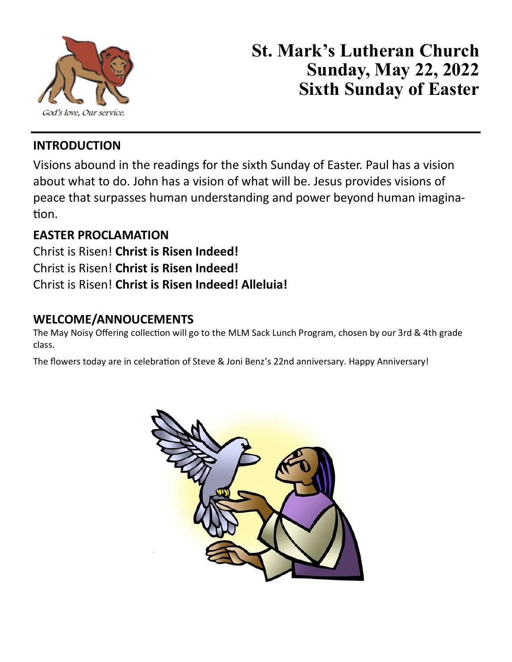

# **St. Mark's Lutheran Church Sunday, May 22, 2022 Sixth Sunday of Easter**

# **INTRODUCTION**

Visions abound in the readings for the sixth Sunday of Easter. Paul has a vision about what to do. John has a vision of what will be. Jesus provides visions of peace that surpasses human understanding and power beyond human imagination.

# **EASTER PROCLAMATION**

Christ is Risen! **Christ is Risen Indeed!** Christ is Risen! **Christ is Risen Indeed!** Christ is Risen! **Christ is Risen Indeed! Alleluia!**

## **WELCOME/ANNOUCEMENTS**

The May Noisy Offering collection will go to the MLM Sack Lunch Program, chosen by our 3rd & 4th grade class.

The flowers today are in celebration of Steve & Joni Benz's 22nd anniversary. Happy Anniversary!

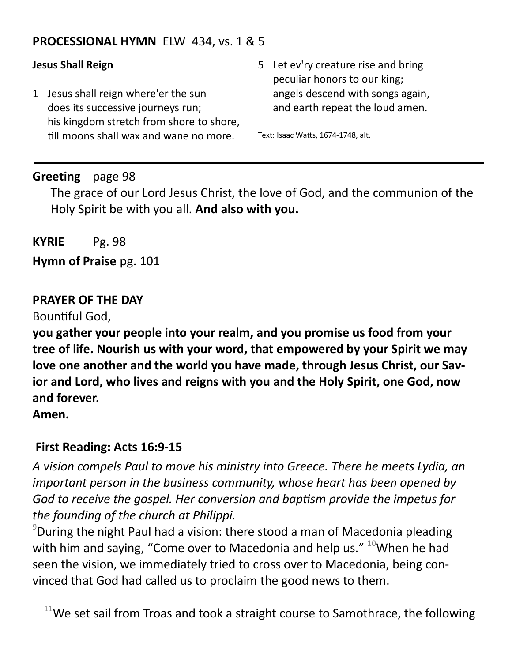## **PROCESSIONAL HYMN** ELW 434, vs. 1 & 5

## **Jesus Shall Reign**

- 1 Jesus shall reign where'er the sun does its successive journeys run; his kingdom stretch from shore to shore, till moons shall wax and wane no more.
- 5 Let ev'ry creature rise and bring peculiar honors to our king; angels descend with songs again, and earth repeat the loud amen.

Text: Isaac Watts, 1674-1748, alt.

## **Greeting** page 98

The grace of our Lord Jesus Christ, the love of God, and the communion of the Holy Spirit be with you all. **And also with you.**

**KYRIE** Pg. 98

**Hymn of Praise** pg. 101

## **PRAYER OF THE DAY**

Bountiful God,

**you gather your people into your realm, and you promise us food from your tree of life. Nourish us with your word, that empowered by your Spirit we may love one another and the world you have made, through Jesus Christ, our Savior and Lord, who lives and reigns with you and the Holy Spirit, one God, now and forever.**

**Amen.**

## **First Reading: Acts 16:9-15**

*A vision compels Paul to move his ministry into Greece. There he meets Lydia, an important person in the business community, whose heart has been opened by God to receive the gospel. Her conversion and baptism provide the impetus for the founding of the church at Philippi.*

 $9$ During the night Paul had a vision: there stood a man of Macedonia pleading with him and saying, "Come over to Macedonia and help us."  $10$ When he had seen the vision, we immediately tried to cross over to Macedonia, being convinced that God had called us to proclaim the good news to them.

 $11$ We set sail from Troas and took a straight course to Samothrace, the following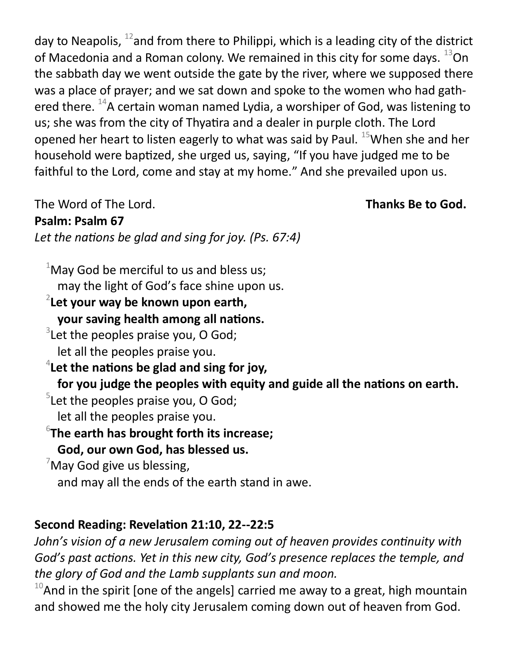day to Neapolis,  $^{12}$  and from there to Philippi, which is a leading city of the district of Macedonia and a Roman colony. We remained in this city for some days.  $^{13}$ On the sabbath day we went outside the gate by the river, where we supposed there was a place of prayer; and we sat down and spoke to the women who had gathered there.  $^{14}$ A certain woman named Lydia, a worshiper of God, was listening to us; she was from the city of Thyatira and a dealer in purple cloth. The Lord opened her heart to listen eagerly to what was said by Paul.  $^{15}$ When she and her household were baptized, she urged us, saying, "If you have judged me to be faithful to the Lord, come and stay at my home." And she prevailed upon us.

The Word of The Lord. **Thanks Be to God.** 

**Psalm: Psalm 67**

*Let the nations be glad and sing for joy. (Ps. 67:4)*

 $1$ May God be merciful to us and bless us; may the light of God's face shine upon us.

# 2 **Let your way be known upon earth, your saving health among all nations.**

 $3$ Let the peoples praise you, O God; let all the peoples praise you.

4 **Let the nations be glad and sing for joy,**

**for you judge the peoples with equity and guide all the nations on earth.**

 $5$ Let the peoples praise you, O God;

let all the peoples praise you.

6 **The earth has brought forth its increase;**

**God, our own God, has blessed us.**

 $\sqrt{\frac{2}{1}}$ May God give us blessing, and may all the ends of the earth stand in awe.

# **Second Reading: Revelation 21:10, 22--22:5**

*John's vision of a new Jerusalem coming out of heaven provides continuity with God's past actions. Yet in this new city, God's presence replaces the temple, and the glory of God and the Lamb supplants sun and moon.*

 $10$ And in the spirit [one of the angels] carried me away to a great, high mountain and showed me the holy city Jerusalem coming down out of heaven from God.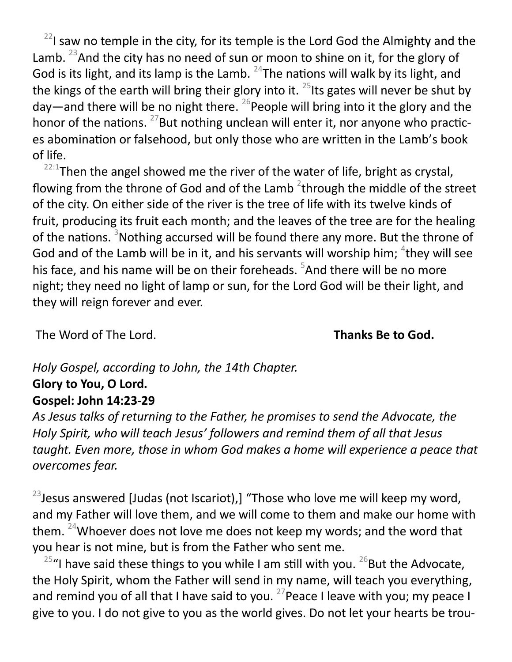$22$ I saw no temple in the city, for its temple is the Lord God the Almighty and the Lamb. <sup>23</sup>And the city has no need of sun or moon to shine on it, for the glory of God is its light, and its lamp is the Lamb.  $24$ The nations will walk by its light, and the kings of the earth will bring their glory into it.  $25$  its gates will never be shut by day—and there will be no night there.  $^{26}$ People will bring into it the glory and the honor of the nations.  $^{27}$ But nothing unclean will enter it, nor anyone who practices abomination or falsehood, but only those who are written in the Lamb's book of life.

 $22:1$ Then the angel showed me the river of the water of life, bright as crystal, flowing from the throne of God and of the Lamb  $^2$ through the middle of the street of the city. On either side of the river is the tree of life with its twelve kinds of fruit, producing its fruit each month; and the leaves of the tree are for the healing of the nations. <sup>3</sup>Nothing accursed will be found there any more. But the throne of God and of the Lamb will be in it, and his servants will worship him;  ${}^{4}$ they will see his face, and his name will be on their foreheads. <sup>5</sup>And there will be no more night; they need no light of lamp or sun, for the Lord God will be their light, and they will reign forever and ever.

The Word of The Lord. **Thanks Be to God.** 

# *Holy Gospel, according to John, the 14th Chapter.* **Glory to You, O Lord. Gospel: John 14:23-29**

*As Jesus talks of returning to the Father, he promises to send the Advocate, the Holy Spirit, who will teach Jesus' followers and remind them of all that Jesus taught. Even more, those in whom God makes a home will experience a peace that overcomes fear.*

 $23$  Jesus answered [Judas (not Iscariot),] "Those who love me will keep my word, and my Father will love them, and we will come to them and make our home with them.  $24$ Whoever does not love me does not keep my words; and the word that you hear is not mine, but is from the Father who sent me.

<sup>25</sup>"I have said these things to you while I am still with you. <sup>26</sup>But the Advocate, the Holy Spirit, whom the Father will send in my name, will teach you everything, and remind you of all that I have said to you.  $27$  Peace I leave with you; my peace I give to you. I do not give to you as the world gives. Do not let your hearts be trou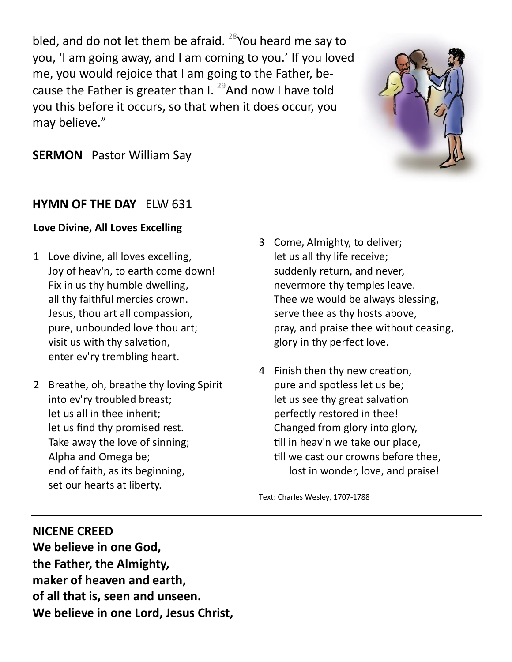bled, and do not let them be afraid. <sup>28</sup>You heard me say to you, 'I am going away, and I am coming to you.' If you loved me, you would rejoice that I am going to the Father, because the Father is greater than I.  $^{29}$ And now I have told you this before it occurs, so that when it does occur, you may believe."



## **SERMON** Pastor William Say

## **HYMN OF THE DAY** ELW 631

### **Love Divine, All Loves Excelling**

- 1 Love divine, all loves excelling, Joy of heav'n, to earth come down! Fix in us thy humble dwelling, all thy faithful mercies crown. Jesus, thou art all compassion, pure, unbounded love thou art; visit us with thy salvation, enter ev'ry trembling heart.
- 2 Breathe, oh, breathe thy loving Spirit into ev'ry troubled breast; let us all in thee inherit; let us find thy promised rest. Take away the love of sinning; Alpha and Omega be; end of faith, as its beginning, set our hearts at liberty.
- 3 Come, Almighty, to deliver; let us all thy life receive; suddenly return, and never, nevermore thy temples leave. Thee we would be always blessing, serve thee as thy hosts above, pray, and praise thee without ceasing, glory in thy perfect love.
- 4 Finish then thy new creation, pure and spotless let us be; let us see thy great salvation perfectly restored in thee! Changed from glory into glory, till in heav'n we take our place, till we cast our crowns before thee, lost in wonder, love, and praise!

Text: Charles Wesley, 1707-1788

## **NICENE CREED**

**We believe in one God, the Father, the Almighty, maker of heaven and earth, of all that is, seen and unseen. We believe in one Lord, Jesus Christ,**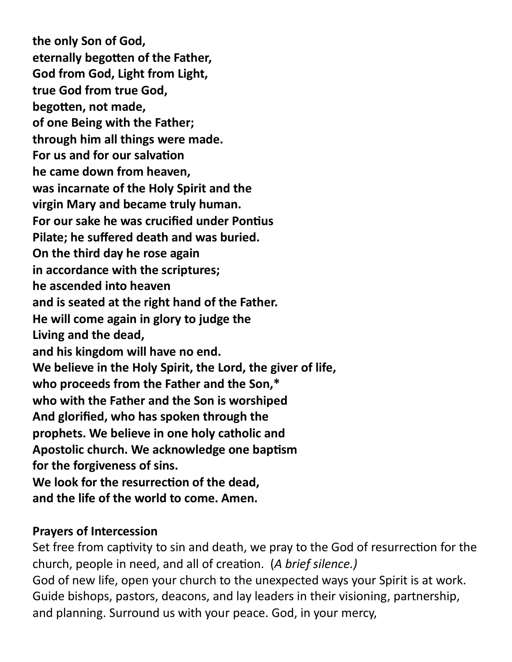**the only Son of God, eternally begotten of the Father, God from God, Light from Light, true God from true God, begotten, not made, of one Being with the Father; through him all things were made. For us and for our salvation he came down from heaven, was incarnate of the Holy Spirit and the virgin Mary and became truly human. For our sake he was crucified under Pontius Pilate; he suffered death and was buried. On the third day he rose again in accordance with the scriptures; he ascended into heaven and is seated at the right hand of the Father. He will come again in glory to judge the Living and the dead, and his kingdom will have no end. We believe in the Holy Spirit, the Lord, the giver of life, who proceeds from the Father and the Son,\* who with the Father and the Son is worshiped And glorified, who has spoken through the prophets. We believe in one holy catholic and Apostolic church. We acknowledge one baptism for the forgiveness of sins. We look for the resurrection of the dead, and the life of the world to come. Amen.**

# **Prayers of Intercession**

Set free from captivity to sin and death, we pray to the God of resurrection for the church, people in need, and all of creation. (*A brief silence.)* God of new life, open your church to the unexpected ways your Spirit is at work. Guide bishops, pastors, deacons, and lay leaders in their visioning, partnership, and planning. Surround us with your peace. God, in your mercy,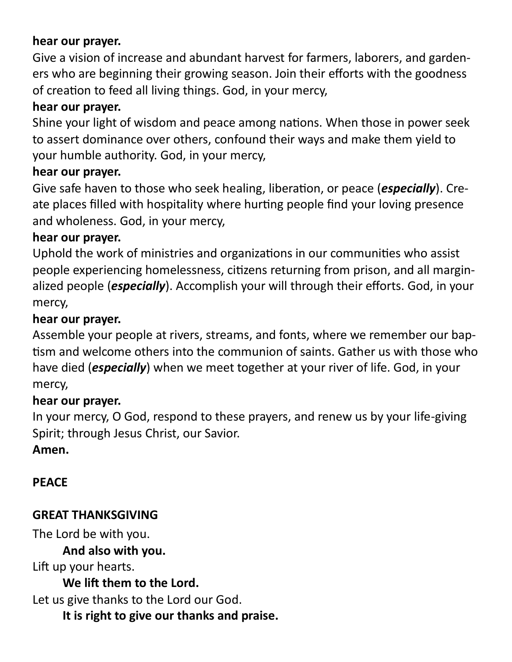# **hear our prayer.**

Give a vision of increase and abundant harvest for farmers, laborers, and gardeners who are beginning their growing season. Join their efforts with the goodness of creation to feed all living things. God, in your mercy,

# **hear our prayer.**

Shine your light of wisdom and peace among nations. When those in power seek to assert dominance over others, confound their ways and make them yield to your humble authority. God, in your mercy,

# **hear our prayer.**

Give safe haven to those who seek healing, liberation, or peace (*especially*). Create places filled with hospitality where hurting people find your loving presence and wholeness. God, in your mercy,

# **hear our prayer.**

Uphold the work of ministries and organizations in our communities who assist people experiencing homelessness, citizens returning from prison, and all marginalized people (*especially*). Accomplish your will through their efforts. God, in your mercy,

# **hear our prayer.**

Assemble your people at rivers, streams, and fonts, where we remember our baptism and welcome others into the communion of saints. Gather us with those who have died (*especially*) when we meet together at your river of life. God, in your mercy,

# **hear our prayer.**

In your mercy, O God, respond to these prayers, and renew us by your life-giving Spirit; through Jesus Christ, our Savior.

# **Amen.**

# **PEACE**

# **GREAT THANKSGIVING**

The Lord be with you.

**And also with you.** 

Lift up your hearts.

**We lift them to the Lord.** 

Let us give thanks to the Lord our God.

**It is right to give our thanks and praise.**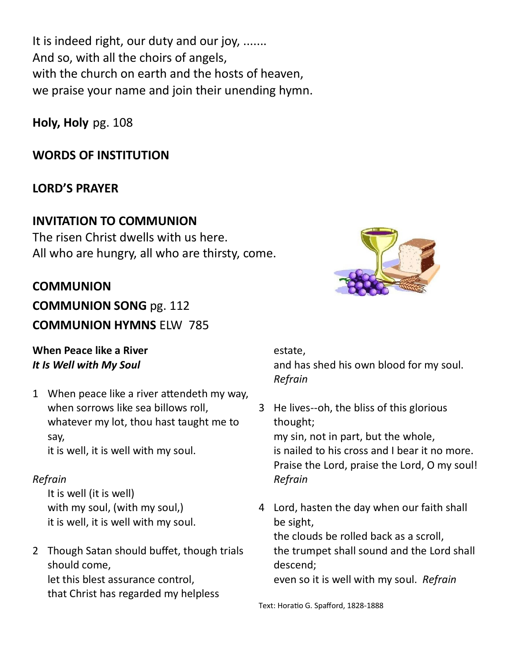It is indeed right, our duty and our joy, ....... And so, with all the choirs of angels, with the church on earth and the hosts of heaven, we praise your name and join their unending hymn.

**Holy, Holy** pg. 108

# **WORDS OF INSTITUTION**

## **LORD'S PRAYER**

## **INVITATION TO COMMUNION**

The risen Christ dwells with us here. All who are hungry, all who are thirsty, come.

## **COMMUNION**

**COMMUNION SONG** pg. 112 **COMMUNION HYMNS** ELW 785

## **When Peace like a River** *It Is Well with My Soul*

1 When peace like a river attendeth my way, when sorrows like sea billows roll, whatever my lot, thou hast taught me to say,

it is well, it is well with my soul.

## *Refrain*

It is well (it is well) with my soul, (with my soul,) it is well, it is well with my soul.

2 Though Satan should buffet, though trials should come, let this blest assurance control, that Christ has regarded my helpless

## estate, and has shed his own blood for my soul. *Refrain*

- 3 He lives--oh, the bliss of this glorious thought; my sin, not in part, but the whole, is nailed to his cross and I bear it no more. Praise the Lord, praise the Lord, O my soul! *Refrain*
- 4 Lord, hasten the day when our faith shall be sight, the clouds be rolled back as a scroll, the trumpet shall sound and the Lord shall descend; even so it is well with my soul. *Refrain*

Text: Horatio G. Spafford, 1828-1888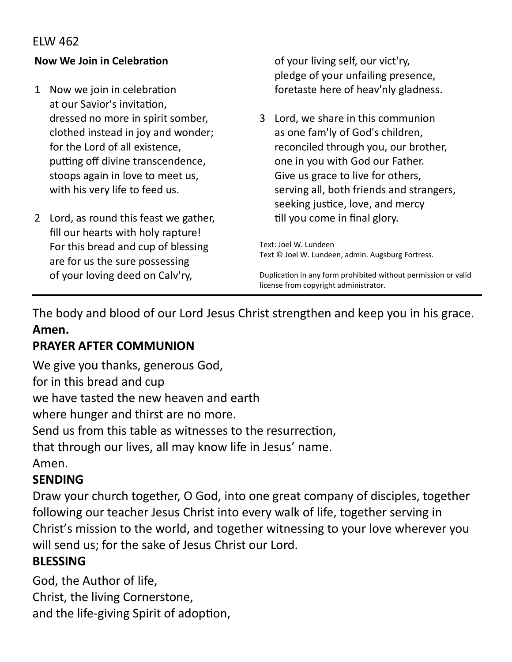## ELW 462

## **Now We Join in Celebration**

- 1 Now we join in celebration at our Savior's invitation, dressed no more in spirit somber, clothed instead in joy and wonder; for the Lord of all existence, putting off divine transcendence, stoops again in love to meet us, with his very life to feed us.
- 2 Lord, as round this feast we gather, fill our hearts with holy rapture! For this bread and cup of blessing are for us the sure possessing of your loving deed on Calv'ry,

of your living self, our vict'ry, pledge of your unfailing presence, foretaste here of heav'nly gladness.

3 Lord, we share in this communion as one fam'ly of God's children, reconciled through you, our brother, one in you with God our Father. Give us grace to live for others, serving all, both friends and strangers, seeking justice, love, and mercy till you come in final glory.

Text: Joel W. Lundeen Text © Joel W. Lundeen, admin. Augsburg Fortress.

Duplication in any form prohibited without permission or valid license from copyright administrator.

The body and blood of our Lord Jesus Christ strengthen and keep you in his grace. **Amen.**

# **PRAYER AFTER COMMUNION**

We give you thanks, generous God, for in this bread and cup we have tasted the new heaven and earth where hunger and thirst are no more. Send us from this table as witnesses to the resurrection,

that through our lives, all may know life in Jesus' name.

Amen.

## **SENDING**

Draw your church together, O God, into one great company of disciples, together following our teacher Jesus Christ into every walk of life, together serving in Christ's mission to the world, and together witnessing to your love wherever you will send us; for the sake of Jesus Christ our Lord.

## **BLESSING**

God, the Author of life, Christ, the living Cornerstone, and the life-giving Spirit of adoption,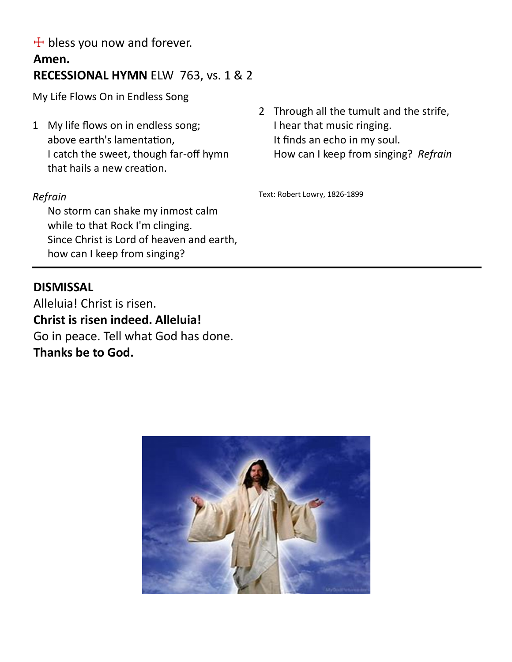$+$  bless you now and forever.

# **Amen. RECESSIONAL HYMN** ELW 763, vs. 1 & 2

My Life Flows On in Endless Song

1 My life flows on in endless song; above earth's lamentation, I catch the sweet, though far-off hymn that hails a new creation.

## *Refrain*

No storm can shake my inmost calm while to that Rock I'm clinging. Since Christ is Lord of heaven and earth, how can I keep from singing?

## **DISMISSAL**

Alleluia! Christ is risen. **Christ is risen indeed. Alleluia!** Go in peace. Tell what God has done. **Thanks be to God.**

2 Through all the tumult and the strife, I hear that music ringing. It finds an echo in my soul. How can I keep from singing? *Refrain*

Text: Robert Lowry, 1826-1899